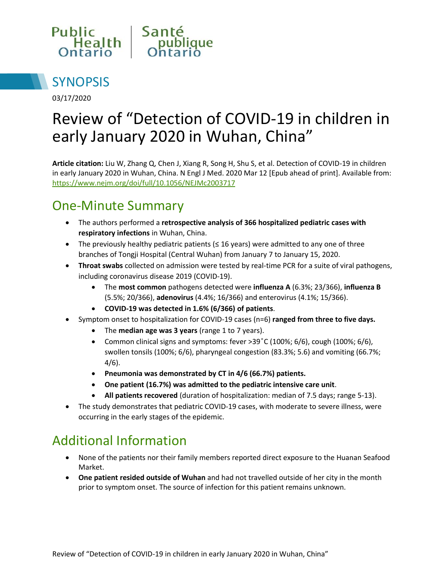



03/17/2020

# Review of "Detection of COVID-19 in children in early January 2020 in Wuhan, China"

**Article citation:** Liu W, Zhang Q, Chen J, Xiang R, Song H, Shu S, et al. Detection of COVID-19 in children in early January 2020 in Wuhan, China. N Engl J Med. 2020 Mar 12 [Epub ahead of print]. Available from: <https://www.nejm.org/doi/full/10.1056/NEJMc2003717>

### One-Minute Summary

- The authors performed a **retrospective analysis of 366 hospitalized pediatric cases with respiratory infections** in Wuhan, China.
- The previously healthy pediatric patients ( $\leq$  16 years) were admitted to any one of three branches of Tongji Hospital (Central Wuhan) from January 7 to January 15, 2020.
- **Throat swabs** collected on admission were tested by real-time PCR for a suite of viral pathogens, including coronavirus disease 2019 (COVID-19).
	- The **most common** pathogens detected were **influenza A** (6.3%; 23/366), **influenza B** (5.5%; 20/366), **adenovirus** (4.4%; 16/366) and enterovirus (4.1%; 15/366).
	- **COVID-19 was detected in 1.6% (6/366) of patients**.
- Symptom onset to hospitalization for COVID-19 cases (n=6) **ranged from three to five days.** 
	- The **median age was 3 years** (range 1 to 7 years).
	- Common clinical signs and symptoms: fever  $>39^{\circ}$ C (100%; 6/6), cough (100%; 6/6), swollen tonsils (100%; 6/6), pharyngeal congestion (83.3%; 5.6) and vomiting (66.7%; 4/6).
	- **Pneumonia was demonstrated by CT in 4/6 (66.7%) patients.**
	- **One patient (16.7%) was admitted to the pediatric intensive care unit**.
	- **All patients recovered** (duration of hospitalization: median of 7.5 days; range 5-13).
- The study demonstrates that pediatric COVID-19 cases, with moderate to severe illness, were occurring in the early stages of the epidemic.

# Additional Information

- None of the patients nor their family members reported direct exposure to the Huanan Seafood Market.
- **One patient resided outside of Wuhan** and had not travelled outside of her city in the month prior to symptom onset. The source of infection for this patient remains unknown.